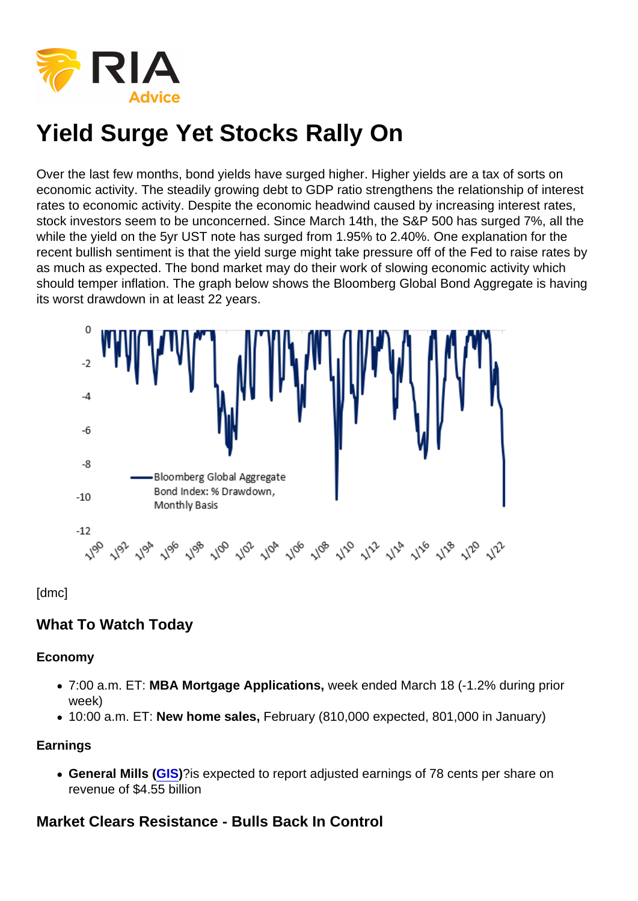Over the last few months, bond yields have surged higher. Higher yields are a tax of sorts on economic activity. The steadily growing debt to GDP ratio strengthens the relationship of interest rates to economic activity. Despite the economic headwind caused by increasing interest rates, stock investors seem to be unconcerned. Since March 14th, the S&P 500 has surged 7%, all the while the yield on the 5yr UST note has surged from 1.95% to 2.40%. One explanation for the recent bullish sentiment is that the yield surge might take pressure off of the Fed to raise rates by as much as expected. The bond market may do their work of slowing economic activity which should temper inflation. The graph below shows the Bloomberg Global Bond Aggregate is having its worst drawdown in at least 22 years.

[dmc]

What To Watch Today

Economy

- 7:00 a.m. ET: MBA Mortgage Applications, week ended March 18 (-1.2% during prior week)
- 10:00 a.m. ET: New home sales, February (810,000 expected, 801,000 in January)

**Earnings** 

General Mills ( [GIS\)](https://finance.yahoo.com/quote/GIS)?is expected to report adjusted earnings of 78 cents per share on revenue of \$4.55 billion

Market Clears Resistance - Bulls Back In Control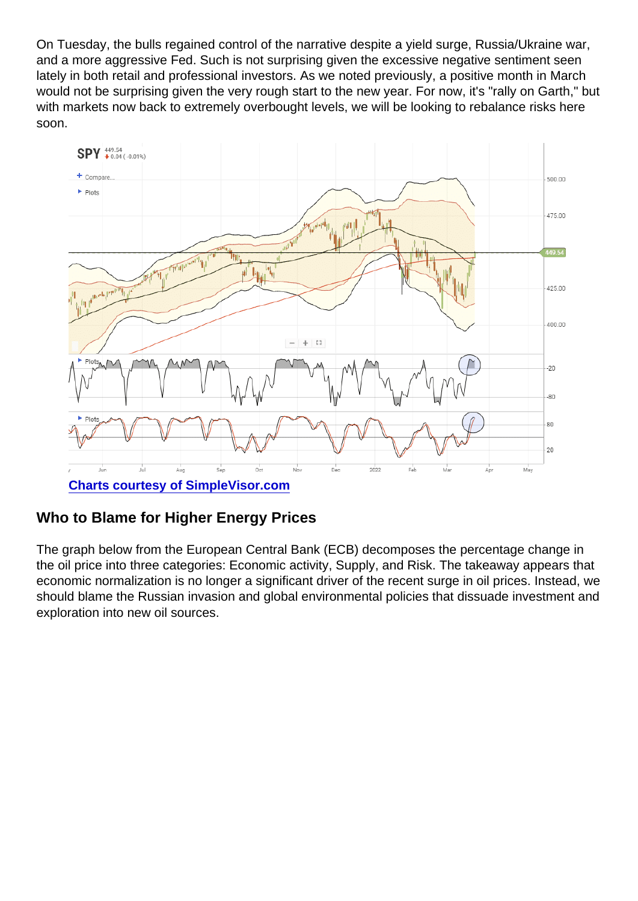On Tuesday, the bulls regained control of the narrative despite a yield surge, Russia/Ukraine war, and a more aggressive Fed. Such is not surprising given the excessive negative sentiment seen lately in both retail and professional investors. As we noted previously, a positive month in March would not be surprising given the very rough start to the new year. For now, it's "rally on Garth," but with markets now back to extremely overbought levels, we will be looking to rebalance risks here soon.

[Charts courtesy of SimpleVisor.com](http://www.simplevisor.com)

## Who to Blame for Higher Energy Prices

The graph below from the European Central Bank (ECB) decomposes the percentage change in the oil price into three categories: Economic activity, Supply, and Risk. The takeaway appears that economic normalization is no longer a significant driver of the recent surge in oil prices. Instead, we should blame the Russian invasion and global environmental policies that dissuade investment and exploration into new oil sources.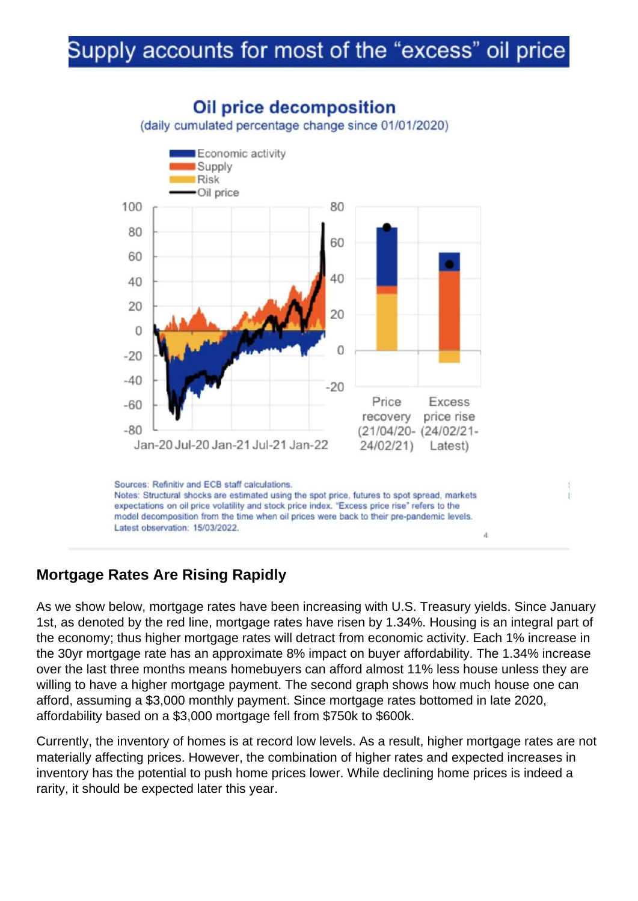## Mortgage Rates Are Rising Rapidly

As we show below, mortgage rates have been increasing with U.S. Treasury yields. Since January 1st, as denoted by the red line, mortgage rates have risen by 1.34%. Housing is an integral part of the economy; thus higher mortgage rates will detract from economic activity. Each 1% increase in the 30yr mortgage rate has an approximate 8% impact on buyer affordability. The 1.34% increase over the last three months means homebuyers can afford almost 11% less house unless they are willing to have a higher mortgage payment. The second graph shows how much house one can afford, assuming a \$3,000 monthly payment. Since mortgage rates bottomed in late 2020, affordability based on a \$3,000 mortgage fell from \$750k to \$600k.

Currently, the inventory of homes is at record low levels. As a result, higher mortgage rates are not materially affecting prices. However, the combination of higher rates and expected increases in inventory has the potential to push home prices lower. While declining home prices is indeed a rarity, it should be expected later this year.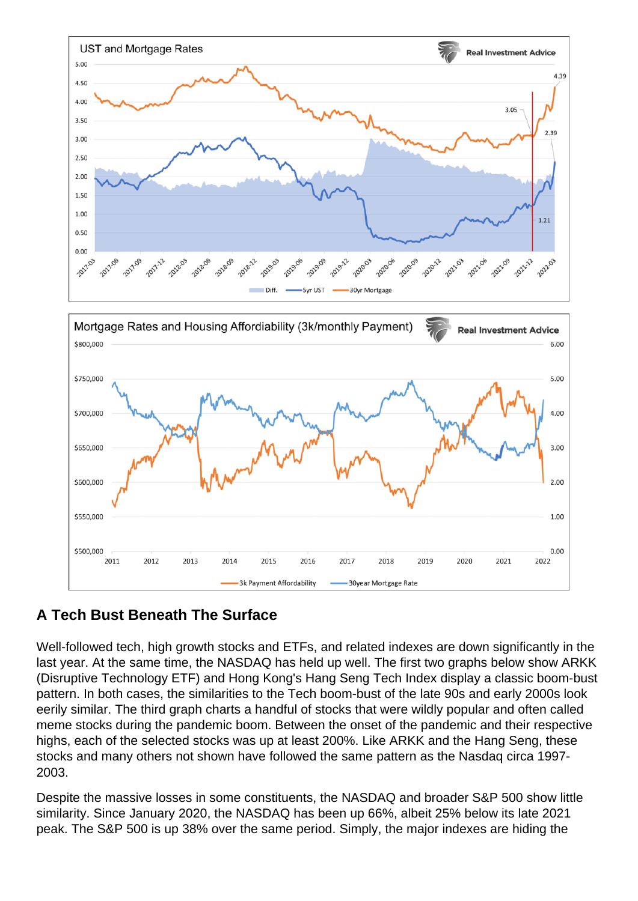## A Tech Bust Beneath The Surface

Well-followed tech, high growth stocks and ETFs, and related indexes are down significantly in the last year. At the same time, the NASDAQ has held up well. The first two graphs below show ARKK (Disruptive Technology ETF) and Hong Kong's Hang Seng Tech Index display a classic boom-bust pattern. In both cases, the similarities to the Tech boom-bust of the late 90s and early 2000s look eerily similar. The third graph charts a handful of stocks that were wildly popular and often called meme stocks during the pandemic boom. Between the onset of the pandemic and their respective highs, each of the selected stocks was up at least 200%. Like ARKK and the Hang Seng, these stocks and many others not shown have followed the same pattern as the Nasdaq circa 1997- 2003.

Despite the massive losses in some constituents, the NASDAQ and broader S&P 500 show little similarity. Since January 2020, the NASDAQ has been up 66%, albeit 25% below its late 2021 peak. The S&P 500 is up 38% over the same period. Simply, the major indexes are hiding the